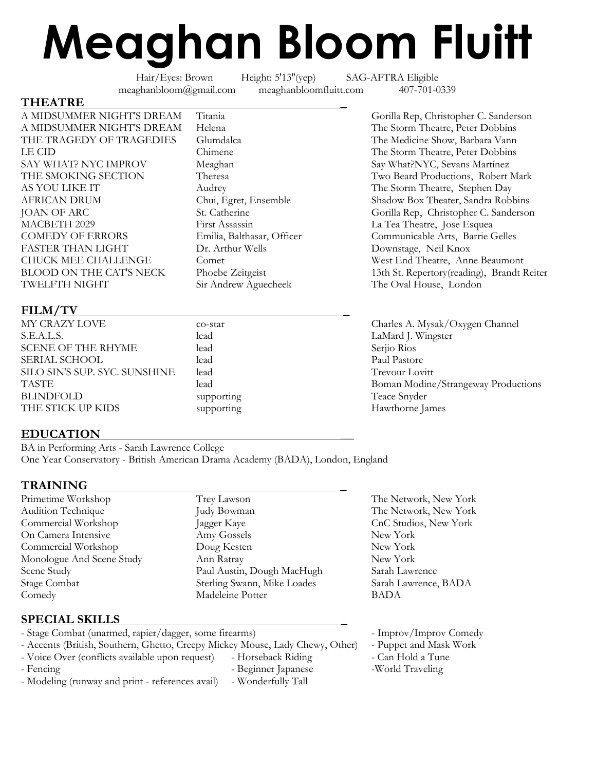# **Meaghan Bloom Fluitt**

Hair/Eyes: Brown Height: 5'13''(yep) SAG-AFTRA Eligible meaghanbloom@gmail.com meaghanbloomfluitt.com 407-701-0339

#### **THEATRE \_**

A MIDSUMMER NIGHT'S DREAM Titania Gorilla Rep, Christopher C. Sanderson<br>
A MIDSUMMER NIGHT'S DREAM Helena The Storm Theatre, Peter Dobbins A MIDSUMMER NIGHT'S DREAM Helena THE TRAGEDY OF TRAGEDIES Glumdalca The Medicine Show, Barbara Vann LE CID Chimene The Storm Theatre, Peter Dobbins SAY WHAT? NYC IMPROV Meaghan Say What?NYC, Sevans Martínez<br>THE SMOKING SECTION Theresa Two Beard Productions, Robert THE SMOKING SECTION Theresa Two Beard Productions, Robert Mark AS YOU LIKE IT Audrey Audrey The Storm Theatre, Stephen Day AFRICAN DRUM Chui, Egret, Ensemble Shadow Box Theater, Sandra Robbins MACBETH 2029 First Assassin La Tea Theatre, Jose Esquea COMEDY OF ERRORS Emilia, Balthasar, Officer Communicable Arts, Barrie Gelles FASTER THAN LIGHT Dr. Arthur Wells Downstage, Neil Knox CHUCK MEE CHALLENGE Comet West End Theatre, Anne Beaumont<br>
BLOOD ON THE CAT'S NECK Phoebe Zeitgeist 13th St. Repertory(reading), Brandt I TWELFTH NIGHT Sir Andrew Aguecheek The Oval House, London

#### **FILM/TV \_**

S.E.A.L.S. lead LaMard J. Wingster SCENE OF THE RHYME lead lead Serjio Rios SERIAL SCHOOL lead lead Paul Pastore SILO SIN'S SUP. SYC. SUNSHINE lead Trevour Lovitt BLINDFOLD supporting Teace Snyder THE STICK UP KIDS supporting the supporting Hawthorne James

**EDUCATION \_\_**

BA in Performing Arts - Sarah Lawrence College One Year Conservatory - British American Drama Academy (BADA), London, England

#### **TRAINING \_**

- 
- Primetime Workshop Trey Lawson Trey Lawson The Network, New York Audition Technique Judy Bowman The Network, New York Commercial Workshop Jagger Kaye CnC Studios, New York<br>
On Camera Intensive Amy Gossels New York New York On Camera Intensive Amy Gossels New York Commercial Workshop Doug Kesten New York Monologue And Scene Study Ann Ratray New York Scene Study **Sarah Lawrence** Paul Austin, Dough MacHugh Sarah Lawrence Stage Combat Sterling Swann, Mike Loades Sarah Lawrence, BADA Comedy Madeleine Potter BADA

### **SPECIAL SKILLS \_**

| - Stage Combat (unarmed, rapier/dagger, some firearms)                        |                     | - Improv/Improv Comedy |
|-------------------------------------------------------------------------------|---------------------|------------------------|
| - Accents (British, Southern, Ghetto, Creepy Mickey Mouse, Lady Chewy, Other) |                     | - Puppet and Mask Work |
| - Voice Over (conflicts available upon request)                               | - Horseback Riding  | - Can Hold a Tune      |
| - Fencing                                                                     | - Beginner Japanese | -World Traveling       |
| - Modeling (runway and print - references avail)                              | - Wonderfully Tall  |                        |
|                                                                               |                     |                        |

JOAN OF ARC St. Catherine St. Catherine Gorilla Rep, Christopher C. Sanderson BLOOD ON THE CAT'S NECK Phoebe Zeitgeist 13th St. Repertory(reading), Brandt Reiter

MY CRAZY LOVE co-star co-star Charles A. Mysak/Oxygen Channel TASTE lead lead and Boman Modine/Strangeway Productions